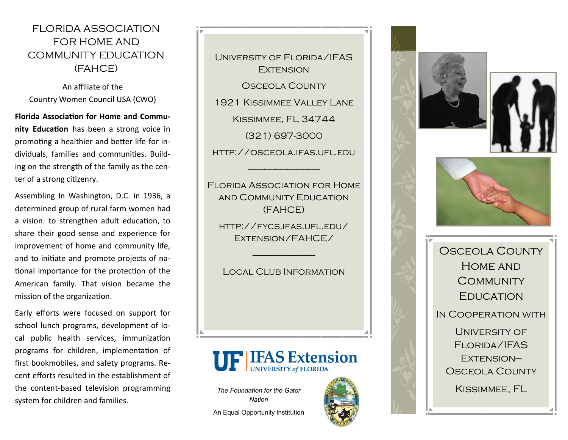## FLORIDA ASSOCIATION FOR HOME AND COMMUNITY EDUCATION (FAHCE)

An affiliate of the Country Women Council USA (CWO)

**Florida Association for Home and Community Education** has been a strong voice in promoting a healthier and better life for individuals, families and communities. Building on the strength of the family as the center of a strong citizenry.

Assembling In Washington, D.C. in 1936, a determined group of rural farm women had a vision: to strengthen adult education, to share their good sense and experience for improvement of home and community life, and to initiate and promote projects of national importance for the protection of the American family. That vision became the mission of the organization.

Early efforts were focused on support for school lunch programs, development of local public health services, immunization programs for children, implementation of first bookmobiles, and safety programs. Recent efforts resulted in the establishment of the content-based television programming system for children and families.

University of Florida/IFAS **EXTENSION** OSCEOLA COUNTY 1921 Kissimmee Valley Lane Kissimmee, FL 34744 (321) 697-3000 http://osceola.ifas.ufl.edu

Florida Association for Home and Community Education (FAHCE)

—————————————

http://fycs.ifas.ufl.edu/ Extension/FAHCE/

Local Club Information

-———————————

# **UF IFAS Extension**

*The Foundation for the Gator Nation* 

An Equal Opportunity Institution









Osceola County Home and **COMMUNITY EDUCATION** In Cooperation with University of Florida/IFAS EXTENSION-OSCEOLA COUNTY

Kissimmee, FL